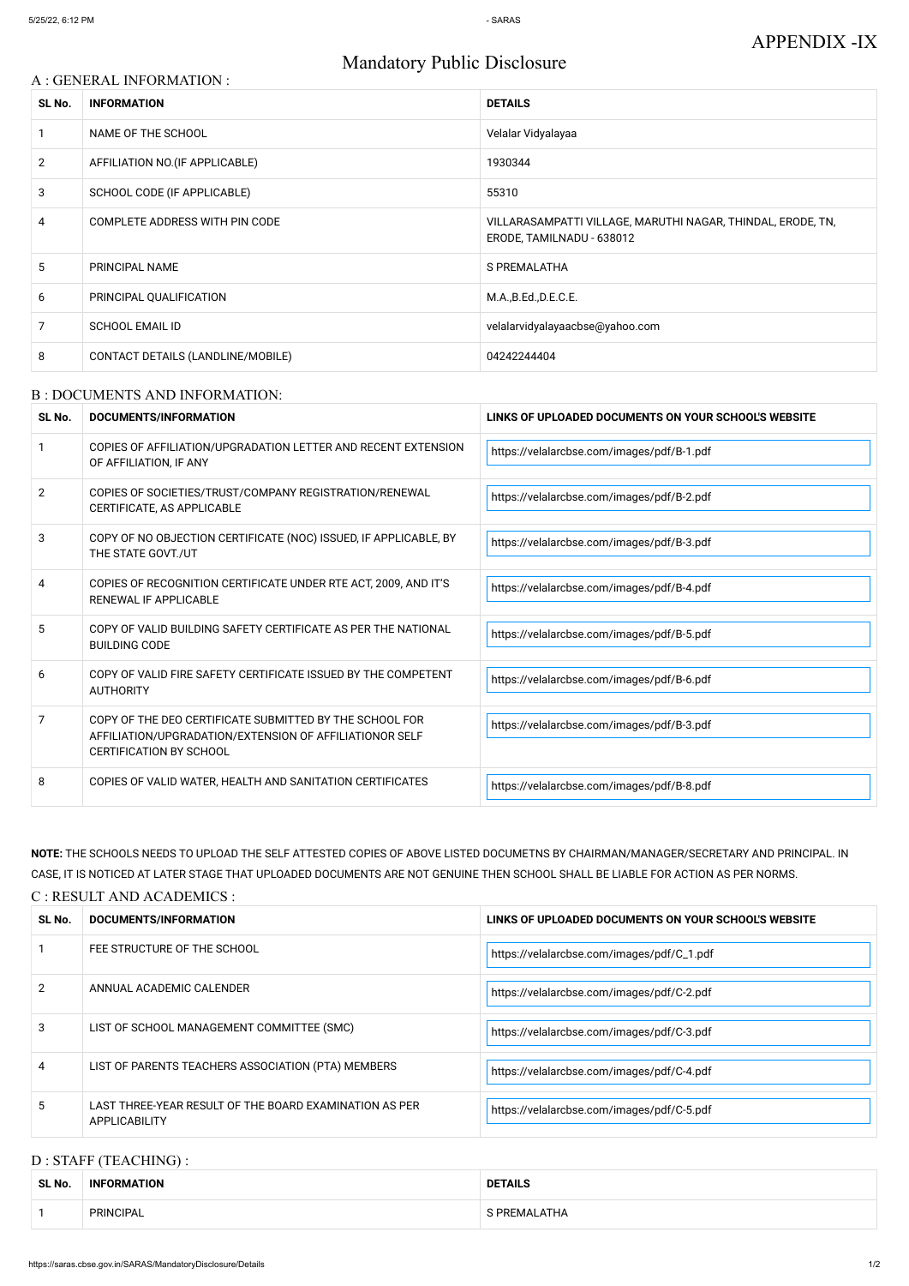# Mandatory Public Disclosure

#### A : GENERAL INFORMATION :

| SL No.         | <b>INFORMATION</b>                | <b>DETAILS</b>                                                                           |  |
|----------------|-----------------------------------|------------------------------------------------------------------------------------------|--|
|                | NAME OF THE SCHOOL                | Velalar Vidyalayaa                                                                       |  |
| $\overline{2}$ | AFFILIATION NO. (IF APPLICABLE)   | 1930344                                                                                  |  |
| 3              | SCHOOL CODE (IF APPLICABLE)       | 55310                                                                                    |  |
| 4              | COMPLETE ADDRESS WITH PIN CODE    | VILLARASAMPATTI VILLAGE, MARUTHI NAGAR, THINDAL, ERODE, TN,<br>ERODE, TAMILNADU - 638012 |  |
| 5              | PRINCIPAL NAME                    | S PREMALATHA                                                                             |  |
| 6              | PRINCIPAL QUALIFICATION           | M.A., B.Ed., D.E.C.E.                                                                    |  |
| 7              | <b>SCHOOL EMAIL ID</b>            | velalarvidyalayaacbse@yahoo.com                                                          |  |
| 8              | CONTACT DETAILS (LANDLINE/MOBILE) | 04242244404                                                                              |  |

#### B : DOCUMENTS AND INFORMATION:

| SL No. | <b>DOCUMENTS/INFORMATION</b>                                                                                                                         | LINKS OF UPLOADED DOCUMENTS ON YOUR SCHOOL'S WEBSITE |
|--------|------------------------------------------------------------------------------------------------------------------------------------------------------|------------------------------------------------------|
|        | COPIES OF AFFILIATION/UPGRADATION LETTER AND RECENT EXTENSION<br>OF AFFILIATION, IF ANY                                                              | https://velalarcbse.com/images/pdf/B-1.pdf           |
| 2      | COPIES OF SOCIETIES/TRUST/COMPANY REGISTRATION/RENEWAL<br>CERTIFICATE, AS APPLICABLE                                                                 | https://velalarcbse.com/images/pdf/B-2.pdf           |
| 3      | COPY OF NO OBJECTION CERTIFICATE (NOC) ISSUED, IF APPLICABLE, BY<br>THE STATE GOVT./UT                                                               | https://velalarcbse.com/images/pdf/B-3.pdf           |
| 4      | COPIES OF RECOGNITION CERTIFICATE UNDER RTE ACT, 2009, AND IT'S<br>RENEWAL IF APPLICABLE                                                             | https://velalarcbse.com/images/pdf/B-4.pdf           |
| 5      | COPY OF VALID BUILDING SAFETY CERTIFICATE AS PER THE NATIONAL<br><b>BUILDING CODE</b>                                                                | https://velalarcbse.com/images/pdf/B-5.pdf           |
| 6      | COPY OF VALID FIRE SAFETY CERTIFICATE ISSUED BY THE COMPETENT<br><b>AUTHORITY</b>                                                                    | https://velalarcbse.com/images/pdf/B-6.pdf           |
| 7      | COPY OF THE DEO CERTIFICATE SUBMITTED BY THE SCHOOL FOR<br>AFFILIATION/UPGRADATION/EXTENSION OF AFFILIATIONOR SELF<br><b>CERTIFICATION BY SCHOOL</b> | https://velalarcbse.com/images/pdf/B-3.pdf           |
| 8      | COPIES OF VALID WATER, HEALTH AND SANITATION CERTIFICATES                                                                                            | https://velalarcbse.com/images/pdf/B-8.pdf           |

| 2 | ANNUAL ACADEMIC CALENDER                                                       | https://velalarcbse.com/images/pdf/C-2.pdf |
|---|--------------------------------------------------------------------------------|--------------------------------------------|
| 3 | LIST OF SCHOOL MANAGEMENT COMMITTEE (SMC)                                      | https://velalarcbse.com/images/pdf/C-3.pdf |
| 4 | LIST OF PARENTS TEACHERS ASSOCIATION (PTA) MEMBERS                             | https://velalarcbse.com/images/pdf/C-4.pdf |
| 5 | LAST THREE-YEAR RESULT OF THE BOARD EXAMINATION AS PER<br><b>APPLICABILITY</b> | https://velalarcbse.com/images/pdf/C-5.pdf |

**NOTE:** THE SCHOOLS NEEDS TO UPLOAD THE SELF ATTESTED COPIES OF ABOVE LISTED DOCUMETNS BY CHAIRMAN/MANAGER/SECRETARY AND PRINCIPAL. IN CASE, IT IS NOTICED AT LATER STAGE THAT UPLOADED DOCUMENTS ARE NOT GENUINE THEN SCHOOL SHALL BE LIABLE FOR ACTION AS PER NORMS.

## C : RESULT AND ACADEMICS :

| SL No. | DOCUMENTS/INFORMATION       | LINKS OF UPLOADED DOCUMENTS ON YOUR SCHOOL'S WEBSITE |
|--------|-----------------------------|------------------------------------------------------|
|        | FEE STRUCTURE OF THE SCHOOL | https://velalarcbse.com/images/pdf/C_1.pdf \         |

### D : STAFF (TEACHING) :

| SL No. | <b>INFORMATION</b> | <b>DETAILS</b> |
|--------|--------------------|----------------|
|        | <b>PRINCIPAL</b>   | S PREMALATHA   |